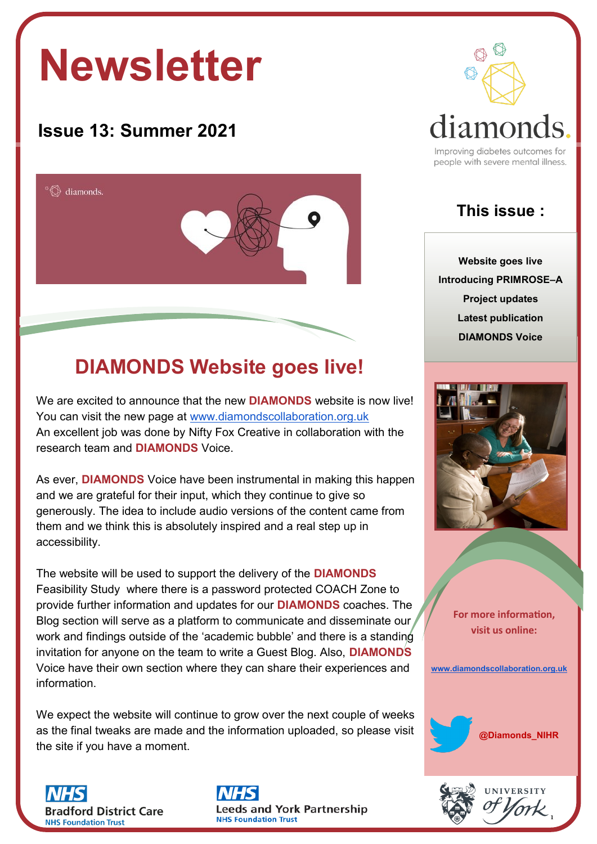# **Newsletter**

### **Issue 13: Summer 2021**



## **DIAMONDS Website goes live!**

We are excited to announce that the new **DIAMONDS** website is now live! You can visit the new page at [www.diamondscollaboration.org.uk](http://www.diamondscollaboration.org.uk/) An excellent job was done by Nifty Fox Creative in collaboration with the research team and **DIAMONDS** Voice.

As ever, **DIAMONDS** Voice have been instrumental in making this happen and we are grateful for their input, which they continue to give so generously. The idea to include audio versions of the content came from them and we think this is absolutely inspired and a real step up in accessibility.

The website will be used to support the delivery of the **DIAMONDS** Feasibility Study where there is a password protected COACH Zone to provide further information and updates for our **DIAMONDS** coaches. The Blog section will serve as a platform to communicate and disseminate our work and findings outside of the 'academic bubble' and there is a standing invitation for anyone on the team to write a Guest Blog. Also, **DIAMONDS** Voice have their own section where they can share their experiences and information.

We expect the website will continue to grow over the next couple of weeks as the final tweaks are made and the information uploaded, so please visit the site if you have a moment.







people with severe mental illness.

#### **This issue :**

**Website goes live Introducing PRIMROSE–A Project updates Latest publication DIAMONDS Voice**



**For more information, visit us online:** 

**[www.diamondscollaboration.org.uk](http://www.diamondscollaboration.org.uk/)**



1

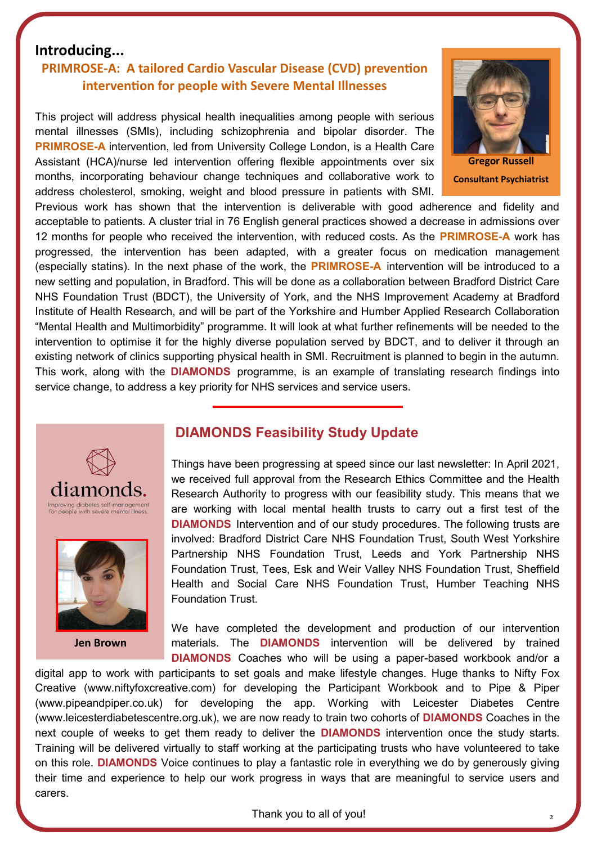#### **Introducing...**

#### **PRIMROSE-A: A tailored Cardio Vascular Disease (CVD) prevention intervention for people with Severe Mental Illnesses**

This project will address physical health inequalities among people with serious mental illnesses (SMIs), including schizophrenia and bipolar disorder. The **PRIMROSE-A** intervention, led from University College London, is a Health Care Assistant (HCA)/nurse led intervention offering flexible appointments over six months, incorporating behaviour change techniques and collaborative work to address cholesterol, smoking, weight and blood pressure in patients with SMI.



**Consultant Psychiatrist**

Previous work has shown that the intervention is deliverable with good adherence and fidelity and acceptable to patients. A cluster trial in 76 English general practices showed a decrease in admissions over 12 months for people who received the intervention, with reduced costs. As the **PRIMROSE-A** work has progressed, the intervention has been adapted, with a greater focus on medication management (especially statins). In the next phase of the work, the **PRIMROSE-A** intervention will be introduced to a new setting and population, in Bradford. This will be done as a collaboration between Bradford District Care NHS Foundation Trust (BDCT), the University of York, and the NHS Improvement Academy at Bradford Institute of Health Research, and will be part of the Yorkshire and Humber Applied Research Collaboration "Mental Health and Multimorbidity" programme. It will look at what further refinements will be needed to the intervention to optimise it for the highly diverse population served by BDCT, and to deliver it through an existing network of clinics supporting physical health in SMI. Recruitment is planned to begin in the autumn. This work, along with the **DIAMONDS** programme, is an example of translating research findings into service change, to address a key priority for NHS services and service users.





**Jen Brown**

#### **DIAMONDS Feasibility Study Update**

Things have been progressing at speed since our last newsletter: In April 2021, we received full approval from the Research Ethics Committee and the Health Research Authority to progress with our feasibility study. This means that we are working with local mental health trusts to carry out a first test of the **DIAMONDS** Intervention and of our study procedures. The following trusts are involved: Bradford District Care NHS Foundation Trust, South West Yorkshire Partnership NHS Foundation Trust, Leeds and York Partnership NHS Foundation Trust, Tees, Esk and Weir Valley NHS Foundation Trust, Sheffield Health and Social Care NHS Foundation Trust, Humber Teaching NHS Foundation Trust.

We have completed the development and production of our intervention materials. The **DIAMONDS** intervention will be delivered by trained **DIAMONDS** Coaches who will be using a paper-based workbook and/or a

digital app to work with participants to set goals and make lifestyle changes. Huge thanks to Nifty Fox Creative (www.niftyfoxcreative.com) for developing the Participant Workbook and to Pipe & Piper (www.pipeandpiper.co.uk) for developing the app. Working with Leicester Diabetes Centre (www.leicesterdiabetescentre.org.uk), we are now ready to train two cohorts of **DIAMONDS** Coaches in the next couple of weeks to get them ready to deliver the **DIAMONDS** intervention once the study starts. Training will be delivered virtually to staff working at the participating trusts who have volunteered to take on this role. **DIAMONDS** Voice continues to play a fantastic role in everything we do by generously giving their time and experience to help our work progress in ways that are meaningful to service users and carers.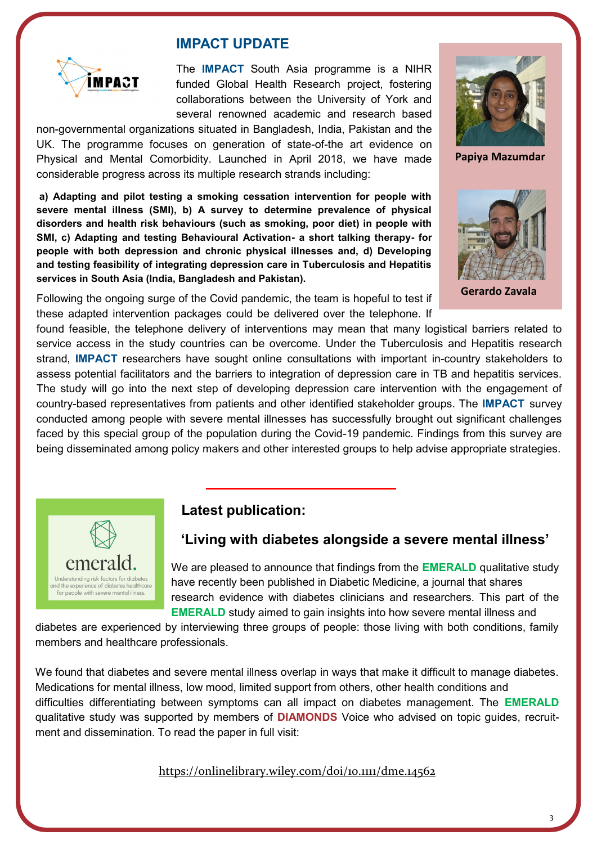

#### **IMPACT UPDATE**

The **IMPACT** South Asia programme is a NIHR funded Global Health Research project, fostering collaborations between the University of York and several renowned academic and research based

non-governmental organizations situated in Bangladesh, India, Pakistan and the UK. The programme focuses on generation of state-of-the art evidence on Physical and Mental Comorbidity. Launched in April 2018, we have made considerable progress across its multiple research strands including:

**a) Adapting and pilot testing a smoking cessation intervention for people with severe mental illness (SMI), b) A survey to determine prevalence of physical disorders and health risk behaviours (such as smoking, poor diet) in people with SMI, c) Adapting and testing Behavioural Activation- a short talking therapy- for people with both depression and chronic physical illnesses and, d) Developing and testing feasibility of integrating depression care in Tuberculosis and Hepatitis services in South Asia (India, Bangladesh and Pakistan).** 

Following the ongoing surge of the Covid pandemic, the team is hopeful to test if these adapted intervention packages could be delivered over the telephone. If



 **Papiya Mazumdar**



 **Gerardo Zavala**

found feasible, the telephone delivery of interventions may mean that many logistical barriers related to service access in the study countries can be overcome. Under the Tuberculosis and Hepatitis research strand, **IMPACT** researchers have sought online consultations with important in-country stakeholders to assess potential facilitators and the barriers to integration of depression care in TB and hepatitis services. The study will go into the next step of developing depression care intervention with the engagement of country-based representatives from patients and other identified stakeholder groups. The **IMPACT** survey conducted among people with severe mental illnesses has successfully brought out significant challenges faced by this special group of the population during the Covid-19 pandemic. Findings from this survey are being disseminated among policy makers and other interested groups to help advise appropriate strategies.



#### **Latest publication:**

#### **'Living with diabetes alongside a severe mental illness'**

We are pleased to announce that findings from the **EMERALD** qualitative study have recently been published in Diabetic Medicine, a journal that shares research evidence with diabetes clinicians and researchers. This part of the **EMERALD** study aimed to gain insights into how severe mental illness and

diabetes are experienced by interviewing three groups of people: those living with both conditions, family members and healthcare professionals.

We found that diabetes and severe mental illness overlap in ways that make it difficult to manage diabetes. Medications for mental illness, low mood, limited support from others, other health conditions and difficulties differentiating between symptoms can all impact on diabetes management. The **EMERALD** qualitative study was supported by members of **DIAMONDS** Voice who advised on topic guides, recruitment and dissemination. To read the paper in full visit:

<https://onlinelibrary.wiley.com/doi/10.1111/dme.14562>